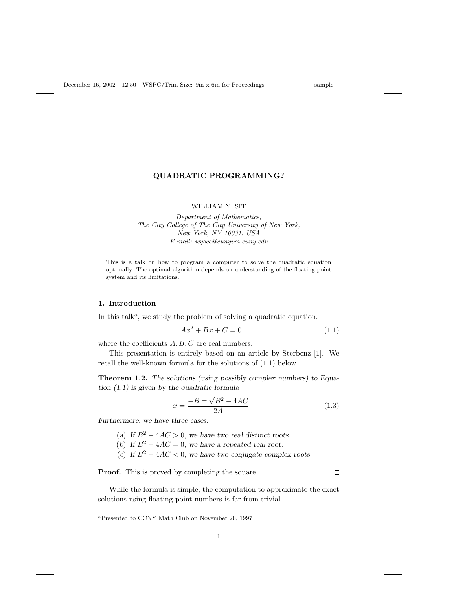# QUADRATIC PROGRAMMING?

### WILLIAM Y. SIT

Department of Mathematics, The City College of The City University of New York, New York, NY 10031, USA E-mail: wyscc@cunyvm.cuny.edu

This is a talk on how to program a computer to solve the quadratic equation optimally. The optimal algorithm depends on understanding of the floating point system and its limitations.

## 1. Introduction

In this talk<sup>a</sup>, we study the problem of solving a quadratic equation.

$$
Ax^2 + Bx + C = 0\tag{1.1}
$$

where the coefficients  $A, B, C$  are real numbers.

This presentation is entirely based on an article by Sterbenz [1]. We recall the well-known formula for the solutions of (1.1) below.

Theorem 1.2. The solutions (using possibly complex numbers) to Equation (1.1) is given by the quadratic formula

$$
x = \frac{-B \pm \sqrt{B^2 - 4AC}}{2A} \tag{1.3}
$$

Furthermore, we have three cases:

- (a) If  $B^2 4AC > 0$ , we have two real distinct roots.
- (b) If  $B^2 4AC = 0$ , we have a repeated real root.
- (c) If  $B^2 4AC < 0$ , we have two conjugate complex roots.

Proof. This is proved by completing the square.

 $\Box$ 

While the formula is simple, the computation to approximate the exact solutions using floating point numbers is far from trivial.

<sup>a</sup>Presented to CCNY Math Club on November 20, 1997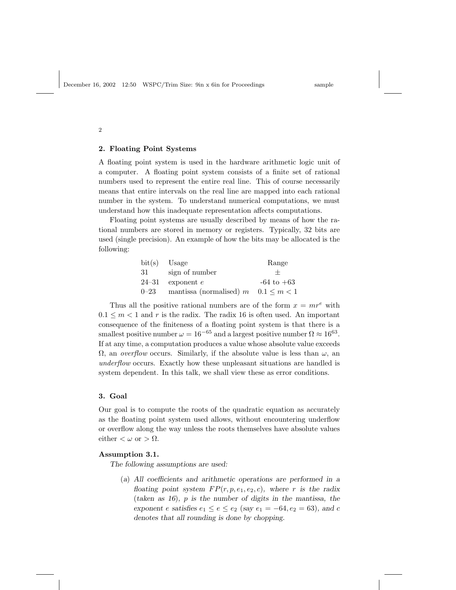#### 2. Floating Point Systems

A floating point system is used in the hardware arithmetic logic unit of a computer. A floating point system consists of a finite set of rational numbers used to represent the entire real line. This of course necessarily means that entire intervals on the real line are mapped into each rational number in the system. To understand numerical computations, we must understand how this inadequate representation affects computations.

Floating point systems are usually described by means of how the rational numbers are stored in memory or registers. Typically, 32 bits are used (single precision). An example of how the bits may be allocated is the following:

|          | $bit(s)$ Usage                            | Range          |
|----------|-------------------------------------------|----------------|
| 31       | sign of number                            |                |
|          | 24–31 exponent $e$                        | $-64$ to $+63$ |
| $0 - 23$ | mantissa (normalised) $m$ $0.1 \le m < 1$ |                |

Thus all the positive rational numbers are of the form  $x = mr^e$  with  $0.1 \leq m < 1$  and r is the radix. The radix 16 is often used. An important consequence of the finiteness of a floating point system is that there is a smallest positive number  $\omega = 16^{-65}$  and a largest positive number  $\Omega \approx 16^{63}$ . If at any time, a computation produces a value whose absolute value exceeds  $\Omega$ , an *overflow* occurs. Similarly, if the absolute value is less than  $\omega$ , an underflow occurs. Exactly how these unpleasant situations are handled is system dependent. In this talk, we shall view these as error conditions.

### 3. Goal

Our goal is to compute the roots of the quadratic equation as accurately as the floating point system used allows, without encountering underflow or overflow along the way unless the roots themselves have absolute values either  $\langle \omega \text{ or } \rangle \Omega$ .

# Assumption 3.1.

The following assumptions are used:

(a) All coefficients and arithmetic operations are performed in a floating point system  $FP(r, p, e_1, e_2, c)$ , where r is the radix (taken as 16), p is the number of digits in the mantissa, the exponent e satisfies  $e_1 \le e \le e_2$  (say  $e_1 = -64, e_2 = 63$ ), and c denotes that all rounding is done by chopping.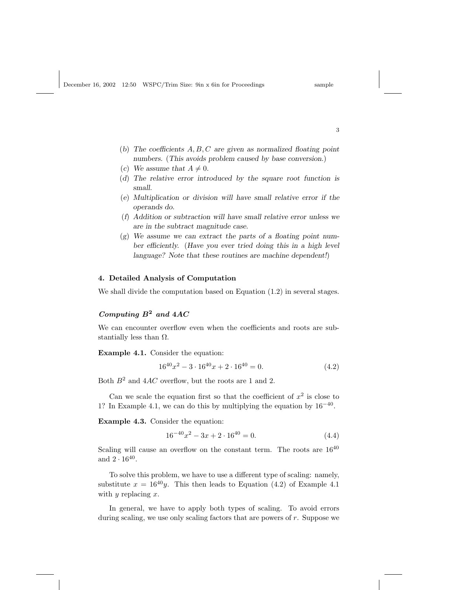December 16, 2002 12:50 WSPC/Trim Size: 9in x 6in for Proceedings sample

- (b) The coefficients  $A, B, C$  are given as normalized floating point numbers. (This avoids problem caused by base conversion.)
- (c) We assume that  $A \neq 0$ .
- (d) The relative error introduced by the square root function is small.
- (e) Multiplication or division will have small relative error if the operands do.
- (f) Addition or subtraction will have small relative error unless we are in the subtract magnitude case.
- $(g)$  We assume we can extract the parts of a floating point number efficiently. (Have you ever tried doing this in a high level language? Note that these routines are machine dependent!)

## 4. Detailed Analysis of Computation

We shall divide the computation based on Equation (1.2) in several stages.

# Computing  $B^2$  and  $4AC$

We can encounter overflow even when the coefficients and roots are substantially less than  $\Omega$ .

Example 4.1. Consider the equation:

$$
16^{40}x^2 - 3 \cdot 16^{40}x + 2 \cdot 16^{40} = 0. \tag{4.2}
$$

Both  $B^2$  and  $4AC$  overflow, but the roots are 1 and 2.

Can we scale the equation first so that the coefficient of  $x^2$  is close to 1? In Example 4.1, we can do this by multiplying the equation by  $16^{-40}$ .

Example 4.3. Consider the equation:

$$
16^{-40}x^2 - 3x + 2 \cdot 16^{40} = 0. \tag{4.4}
$$

Scaling will cause an overflow on the constant term. The roots are  $16^{40}$ and  $2 \cdot 16^{40}$ .

To solve this problem, we have to use a different type of scaling: namely, substitute  $x = 16^{40}y$ . This then leads to Equation (4.2) of Example 4.1 with  $y$  replacing  $x$ .

In general, we have to apply both types of scaling. To avoid errors during scaling, we use only scaling factors that are powers of  $r$ . Suppose we

3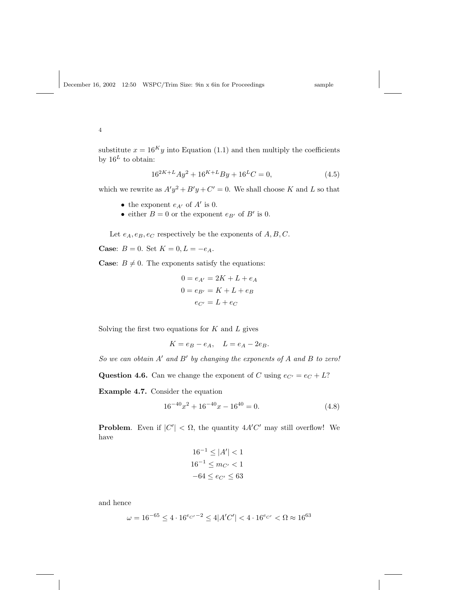substitute  $x = 16<sup>K</sup>y$  into Equation (1.1) and then multiply the coefficients by  $16^L$  to obtain:

$$
16^{2K+L}Ay^2 + 16^{K+L}By + 16^L C = 0,
$$
\n(4.5)

which we rewrite as  $A'y^2 + B'y + C' = 0$ . We shall choose K and L so that

- the exponent  $e_{A'}$  of  $A'$  is 0.
- either  $B = 0$  or the exponent  $e_{B'}$  of  $B'$  is 0.

Let  $e_A, e_B, e_C$  respectively be the exponents of  $A, B, C$ .

**Case:**  $B = 0$ . Set  $K = 0, L = -e_A$ .

**Case:**  $B \neq 0$ . The exponents satisfy the equations:

$$
0 = e_{A'} = 2K + L + e_A
$$

$$
0 = e_{B'} = K + L + e_B
$$

$$
e_{C'} = L + e_C
$$

Solving the first two equations for  $K$  and  $L$  gives

$$
K = e_B - e_A, \quad L = e_A - 2e_B.
$$

So we can obtain  $A'$  and  $B'$  by changing the exponents of  $A$  and  $B$  to zero!

**Question 4.6.** Can we change the exponent of C using  $e_{C'} = e_C + L$ ?

Example 4.7. Consider the equation

$$
16^{-40}x^2 + 16^{-40}x - 16^{40} = 0.
$$
 (4.8)

**Problem.** Even if  $|C'| < \Omega$ , the quantity  $4A'C'$  may still overflow! We have

$$
16^{-1} \le |A'| < 1
$$
  

$$
16^{-1} \le m_{C'} < 1
$$
  

$$
-64 \le e_{C'} \le 63
$$

and hence

$$
\omega = 16^{-65} \le 4 \cdot 16^{e_{C'}-2} \le 4|A'C'| < 4 \cdot 16^{e_{C'}} < \Omega \approx 16^{63}
$$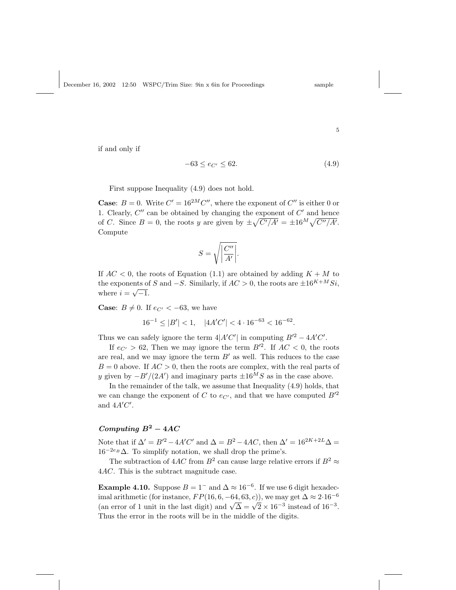$$
5\:
$$

if and only if

$$
-63 \le e_{C'} \le 62. \tag{4.9}
$$

First suppose Inequality (4.9) does not hold.

**Case:**  $B = 0$ . Write  $C' = 16^{2M}C''$ , where the exponent of  $C''$  is either 0 or 1. Clearly,  $C''$  can be obtained by changing the exponent of  $C'$  and hence 1. Clearly, C<sup>o</sup> can be obtained by changing the exponent of C and hence<br>of C. Since  $B = 0$ , the roots y are given by  $\pm \sqrt{C'/A'} = \pm 16^M \sqrt{C''/A'}$ . Compute

$$
S = \sqrt{\left|\frac{C''}{A'}\right|}.
$$

If  $AC < 0$ , the roots of Equation (1.1) are obtained by adding  $K + M$  to the exponents of S and  $-S$ . Similarly, if  $AC > 0$ , the roots are  $\pm 16^{K+M}Si$ , where  $i = \sqrt{-1}$ .

**Case:**  $B \neq 0$ . If  $e_{C'} < -63$ , we have

$$
16^{-1} \le |B'| < 1, \quad |4A'C'| < 4 \cdot 16^{-63} < 16^{-62}.
$$

Thus we can safely ignore the term  $4|A'C'|$  in computing  $B'^2 - 4A'C'$ .

If  $e_{C'} > 62$ , Then we may ignore the term  $B'^2$ . If  $AC < 0$ , the roots are real, and we may ignore the term  $B'$  as well. This reduces to the case  $B = 0$  above. If  $AC > 0$ , then the roots are complex, with the real parts of y given by  $-B'/(2A')$  and imaginary parts  $\pm 16^M S$  as in the case above.

In the remainder of the talk, we assume that Inequality (4.9) holds, that we can change the exponent of C to  $e_{C'}$ , and that we have computed  $B'^2$ and  $4A'C'$ .

# Computing  $B^2 - 4AC$

Note that if  $\Delta' = B'^2 - 4A'C'$  and  $\Delta = B^2 - 4AC$ , then  $\Delta' = 16^{2K+2L}\Delta =$  $16^{-2e_B}\Delta$ . To simplify notation, we shall drop the prime's.

The subtraction of  $4AC$  from  $B^2$  can cause large relative errors if  $B^2 \approx$ 4AC. This is the subtract magnitude case.

**Example 4.10.** Suppose  $B = 1^-$  and  $\Delta \approx 16^{-6}$ . If we use 6 digit hexadecimal arithmetic (for instance,  $FP(16, 6, -64, 63, c)$ ), we may get  $\Delta \approx 2.16^{-6}$ the artificant direct (for instance,  $F F(10, 0, -04, 03, c)$ ), we may get  $\Delta \approx 2.16$ <br>(an error of 1 unit in the last digit) and  $\sqrt{\Delta} = \sqrt{2} \times 16^{-3}$  instead of  $16^{-3}$ . Thus the error in the roots will be in the middle of the digits.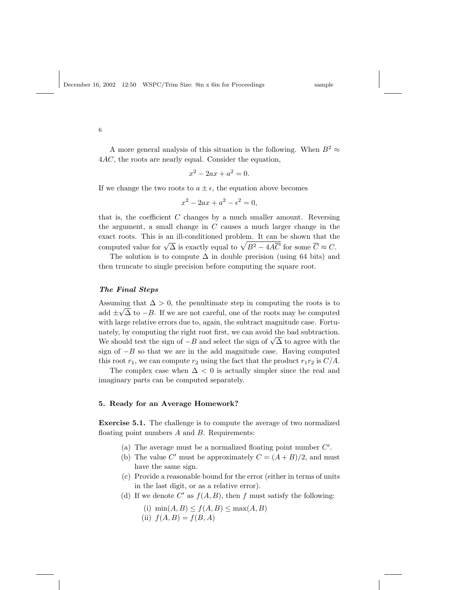A more general analysis of this situation is the following. When  $B^2 \approx$ 4AC, the roots are nearly equal. Consider the equation,

$$
x^2 - 2ax + a^2 = 0.
$$

If we change the two roots to  $a \pm \epsilon$ , the equation above becomes

$$
x^2 - 2ax + a^2 - \epsilon^2 = 0,
$$

that is, the coefficient  $C$  changes by a much smaller amount. Reversing the argument, a small change in  $C$  causes a much larger change in the exact roots. This is an ill-conditioned problem. It can be shown that the exact roots. This is an ill-conditioned problem. It can be shown that the computed value for  $\sqrt{\Delta}$  is exactly equal to  $\sqrt{B^2 - 4A\overline{C}}$  for some  $\overline{C} \approx C$ .

The solution is to compute  $\Delta$  in double precision (using 64 bits) and then truncate to single precision before computing the square root.

### The Final Steps

Assuming that  $\Delta > 0$ , the penultimate step in computing the roots is to add  $\pm\sqrt{\Delta}$  to  $-B$ . If we are not careful, one of the roots may be computed with large relative errors due to, again, the subtract magnitude case. Fortunately, by computing the right root first, we can avoid the bad subtraction. matery, by computing the right root first, we can avoid the bad subtraction.<br>We should test the sign of  $-B$  and select the sign of  $\sqrt{\Delta}$  to agree with the sign of  $-B$  so that we are in the add magnitude case. Having computed this root  $r_1$ , we can compute  $r_2$  using the fact that the product  $r_1r_2$  is  $C/A$ .

The complex case when  $\Delta < 0$  is actually simpler since the real and imaginary parts can be computed separately.

### 5. Ready for an Average Homework?

Exercise 5.1. The challenge is to compute the average of two normalized floating point numbers  $A$  and  $B$ . Requirements:

- (a) The average must be a normalized floating point number  $C'$ .
- (b) The value C' must be approximately  $C = (A + B)/2$ , and must have the same sign.
- (c) Provide a reasonable bound for the error (either in terms of units in the last digit, or as a relative error).
- (d) If we denote C' as  $f(A, B)$ , then f must satisfy the following:
	- (i)  $\min(A, B) \leq f(A, B) \leq \max(A, B)$ (ii)  $f(A, B) = f(B, A)$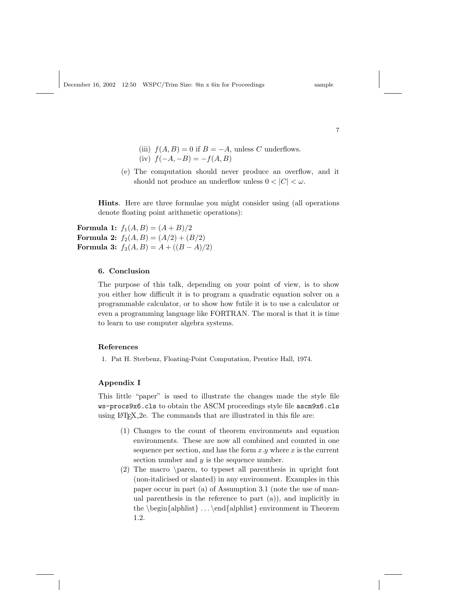- (iii)  $f(A, B) = 0$  if  $B = -A$ , unless C underflows.
- (iv)  $f(-A, -B) = -f(A, B)$
- (e) The computation should never produce an overflow, and it should not produce an underflow unless  $0 < |C| < \omega$ .

Hints. Here are three formulae you might consider using (all operations denote floating point arithmetic operations):

**Formula 1:**  $f_1(A, B) = (A + B)/2$ Formula 2:  $f_2(A, B) = (A/2) + (B/2)$ Formula 3:  $f_3(A, B) = A + ((B - A)/2)$ 

### 6. Conclusion

The purpose of this talk, depending on your point of view, is to show you either how difficult it is to program a quadratic equation solver on a programmable calculator, or to show how futile it is to use a calculator or even a programming language like FORTRAN. The moral is that it is time to learn to use computer algebra systems.

### References

1. Pat H. Sterbenz, Floating-Point Computation, Prentice Hall, 1974.

### Appendix I

This little "paper" is used to illustrate the changes made the style file ws-procs9x6.cls to obtain the ASCM proceedings style file ascm9x6.cls using LATEX 2e. The commands that are illustrated in this file are:

- (1) Changes to the count of theorem environments and equation environments. These are now all combined and counted in one sequence per section, and has the form  $x.y$  where x is the current section number and  $y$  is the sequence number.
- (2) The macro \paren, to typeset all parenthesis in upright font (non-italicised or slanted) in any environment. Examples in this paper occur in part (a) of Assumption 3.1 (note the use of manual parenthesis in the reference to part (a)), and implicitly in the  $\begin{cases} \alpha & \text{all} \end{cases} \ldots \end{cases}$  end{alphlist} environment in Theorem 1.2.

7